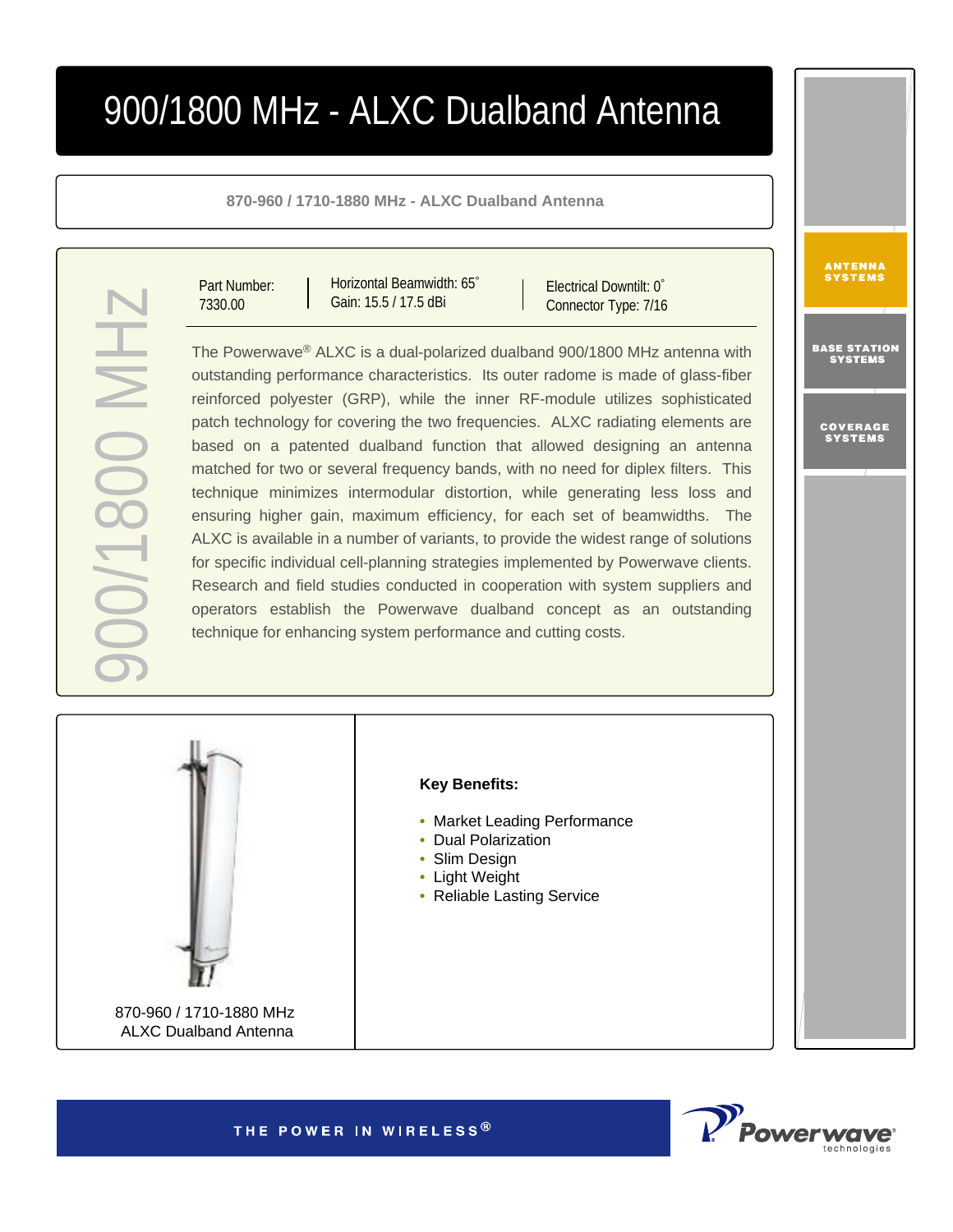# 900/1800 MHz - ALXC Dualband Antenna

**870-960 / 1710-1880 MHz - ALXC Dualband Antenna**

Part Number: 7330.00

900/1800 MHz

**HIM 008L/0C** 

Horizontal Beamwidth: 65° Gain: 15.5 / 17.5 dBi

Electrical Downtilt: 0° Connector Type: 7/16

The Powerwave ® ALXC is a dual-polarized dualband 900/1800 MHz antenna with outstanding performance characteristics. Its outer radome is made of glass-fiber reinforced polyester (GRP), while the inner RF-module utilizes sophisticated patch technology for covering the two frequencies. ALXC radiating elements are based on a patented dualband function that allowed designing an antenna matched for two or several frequency bands, with no need for diplex filters. This technique minimizes intermodular distortion, while generating less loss and ensuring higher gain, maximum efficiency, for each set of beamwidths. The ALXC is available in a number of variants, to provide the widest range of solutions for specific individual cell-planning strategies implemented by Powerwave clients. Research and field studies conducted in cooperation with system suppliers and operators establish the Powerwave dualband concept as an outstanding technique for enhancing system performance and cutting costs.



Powerwa

ANTENNA<br>Systems

BASE STA<mark>TION</mark><br>Systems

COVERAGE<br>Systems

THE POWER IN WIRELESS<sup>®</sup>